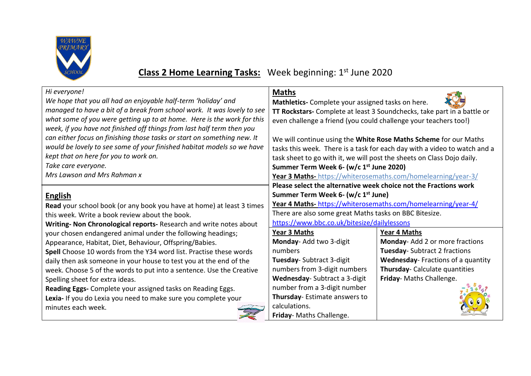

## **Class 2 Home Learning Tasks:** Week beginning: 1 st June 2020

| Hi everyone!                                                            | <b>Maths</b>                                                              |                                   |
|-------------------------------------------------------------------------|---------------------------------------------------------------------------|-----------------------------------|
| We hope that you all had an enjoyable half-term 'holiday' and           | Mathletics- Complete your assigned tasks on here.                         |                                   |
| managed to have a bit of a break from school work. It was lovely to see | TT Rockstars- Complete at least 3 Soundchecks, take part in a battle or   |                                   |
| what some of you were getting up to at home. Here is the work for this  | even challenge a friend (you could challenge your teachers too!)          |                                   |
| week, if you have not finished off things from last half term then you  |                                                                           |                                   |
| can either focus on finishing those tasks or start on something new. It | We will continue using the White Rose Maths Scheme for our Maths          |                                   |
| would be lovely to see some of your finished habitat models so we have  | tasks this week. There is a task for each day with a video to watch and a |                                   |
| kept that on here for you to work on.                                   | task sheet to go with it, we will post the sheets on Class Dojo daily.    |                                   |
| Take care everyone.                                                     | Summer Term Week 6- (w/c 1 <sup>st</sup> June 2020)                       |                                   |
| Mrs Lawson and Mrs Rahman x                                             | <b>Year 3 Maths-</b> https://whiterosemaths.com/homelearning/year-3/      |                                   |
|                                                                         | Please select the alternative week choice not the Fractions work          |                                   |
| <b>English</b>                                                          | Summer Term Week 6- (w/c 1 <sup>st</sup> June)                            |                                   |
| Read your school book (or any book you have at home) at least 3 times   | Year 4 Maths-https://whiterosemaths.com/homelearning/year-4/              |                                   |
| this week. Write a book review about the book.                          | There are also some great Maths tasks on BBC Bitesize.                    |                                   |
|                                                                         | https://www.bbc.co.uk/bitesize/dailylessons                               |                                   |
| Writing- Non Chronological reports- Research and write notes about      |                                                                           |                                   |
| your chosen endangered animal under the following headings;             | <b>Year 3 Maths</b>                                                       | <b>Year 4 Maths</b>               |
| Appearance, Habitat, Diet, Behaviour, Offspring/Babies.                 | Monday- Add two 3-digit                                                   | Monday-Add 2 or more fractions    |
| Spell Choose 10 words from the Y34 word list. Practise these words      | numbers                                                                   | Tuesday- Subtract 2 fractions     |
| daily then ask someone in your house to test you at the end of the      | Tuesday-Subtract 3-digit                                                  | Wednesday-Fractions of a quantity |
| week. Choose 5 of the words to put into a sentence. Use the Creative    | numbers from 3-digit numbers                                              | Thursday- Calculate quantities    |
| Spelling sheet for extra ideas.                                         | Wednesday-Subtract a 3-digit                                              | Friday- Maths Challenge.          |
| Reading Eggs- Complete your assigned tasks on Reading Eggs.             | number from a 3-digit number                                              |                                   |
| Lexia- If you do Lexia you need to make sure you complete your          | Thursday- Estimate answers to                                             |                                   |
| minutes each week.                                                      | calculations.                                                             |                                   |
|                                                                         | Friday- Maths Challenge.                                                  |                                   |